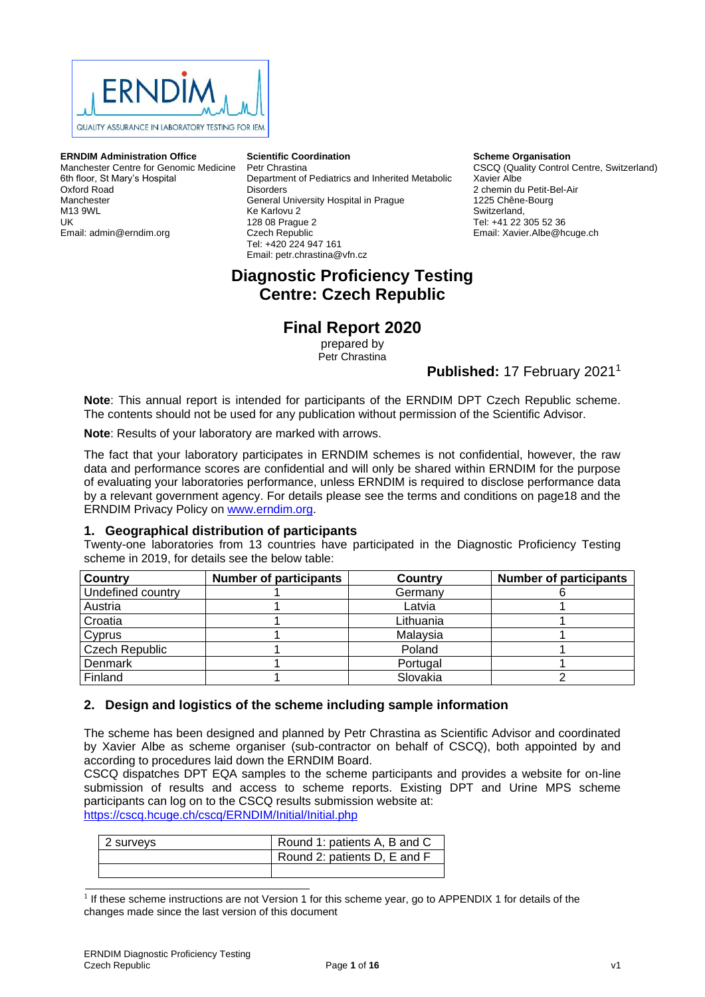

#### **ERNDIM Administration Office**

Manchester Centre for Genomic Medicine 6th floor, St Mary's Hospital Oxford Road Manchester M13 9WL UK Email: admin@erndim.org

#### **Scientific Coordination**

Petr Chrastina Department of Pediatrics and Inherited Metabolic **Disorders** General University Hospital in Prague Ke Karlovu 2 128 08 Prague 2 Czech Republic Tel: +420 224 947 161 Email: petr.chrastina@vfn.cz

#### **Scheme Organisation** CSCQ (Quality Control Centre, Switzerland) Xavier Albe 2 chemin du Petit-Bel-Air 1225 Chêne-Bourg Switzerland, Tel: +41 22 305 52 36 Email: Xavier.Albe@hcuge.ch

# **Diagnostic Proficiency Testing Centre: Czech Republic**

# **Final Report 2020**

prepared by Petr Chrastina

### **Published:** 17 February 2021<sup>1</sup>

**Note**: This annual report is intended for participants of the ERNDIM DPT Czech Republic scheme. The contents should not be used for any publication without permission of the Scientific Advisor.

**Note**: Results of your laboratory are marked with arrows.

The fact that your laboratory participates in ERNDIM schemes is not confidential, however, the raw data and performance scores are confidential and will only be shared within ERNDIM for the purpose of evaluating your laboratories performance, unless ERNDIM is required to disclose performance data by a relevant government agency. For details please see the terms and conditions on page18 and the ERNDIM Privacy Policy on [www.erndim.org.](http://www.erndim.org/)

### **1. Geographical distribution of participants**

Twenty-one laboratories from 13 countries have participated in the Diagnostic Proficiency Testing scheme in 2019, for details see the below table:

| <b>Country</b>        | <b>Number of participants</b> | Country   | <b>Number of participants</b> |
|-----------------------|-------------------------------|-----------|-------------------------------|
| Undefined country     |                               | Germanv   |                               |
| Austria               |                               | Latvia    |                               |
| Croatia               |                               | Lithuania |                               |
| Cyprus                |                               | Malaysia  |                               |
| <b>Czech Republic</b> |                               | Poland    |                               |
| Denmark               |                               | Portugal  |                               |
| Finland               |                               | Slovakia  |                               |

### **2. Design and logistics of the scheme including sample information**

The scheme has been designed and planned by Petr Chrastina as Scientific Advisor and coordinated by Xavier Albe as scheme organiser (sub-contractor on behalf of CSCQ), both appointed by and according to procedures laid down the ERNDIM Board.

CSCQ dispatches DPT EQA samples to the scheme participants and provides a website for on-line submission of results and access to scheme reports. Existing DPT and Urine MPS scheme participants can log on to the CSCQ results submission website at: <https://cscq.hcuge.ch/cscq/ERNDIM/Initial/Initial.php>

| 2 surveys | Round 1: patients A, B and C |
|-----------|------------------------------|
|           | Round 2: patients D, E and F |
|           |                              |

<sup>&</sup>lt;sup>1</sup> If these scheme instructions are not Version 1 for this scheme year, go to [APPENDIX 1](#page-15-0) for details of the changes made since the last version of this document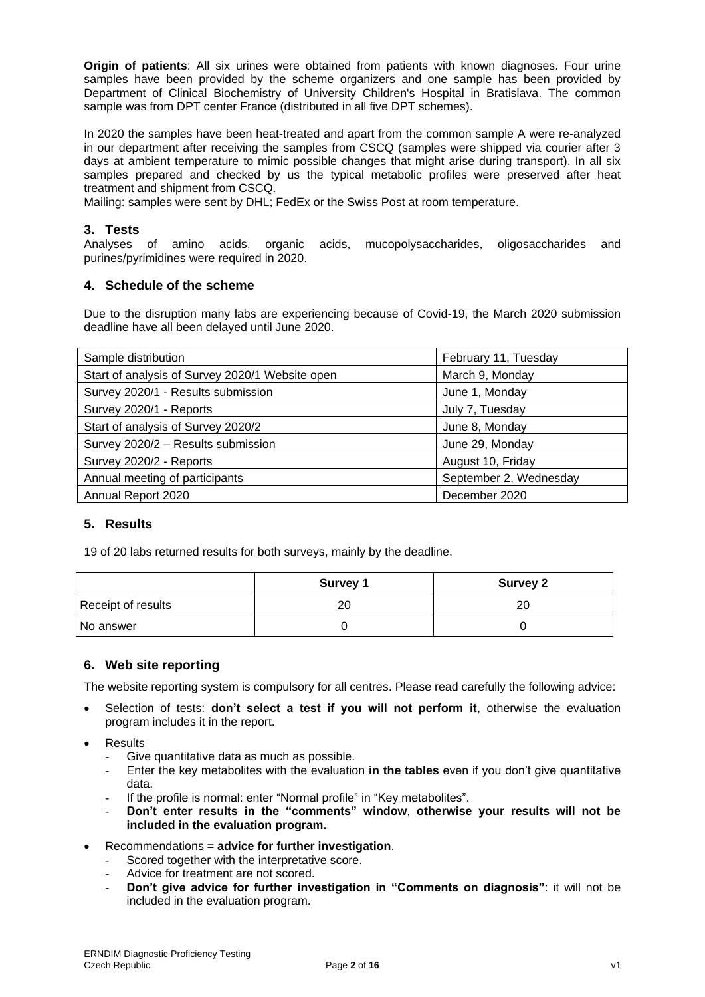**Origin of patients**: All six urines were obtained from patients with known diagnoses. Four urine samples have been provided by the scheme organizers and one sample has been provided by Department of Clinical Biochemistry of University Children's Hospital in Bratislava. The common sample was from DPT center France (distributed in all five DPT schemes).

In 2020 the samples have been heat-treated and apart from the common sample A were re-analyzed in our department after receiving the samples from CSCQ (samples were shipped via courier after 3 days at ambient temperature to mimic possible changes that might arise during transport). In all six samples prepared and checked by us the typical metabolic profiles were preserved after heat treatment and shipment from CSCQ.

Mailing: samples were sent by DHL; FedEx or the Swiss Post at room temperature.

# **3. Tests**

Analyses of amino acids, organic acids, mucopolysaccharides, oligosaccharides and purines/pyrimidines were required in 2020.

### **4. Schedule of the scheme**

Due to the disruption many labs are experiencing because of Covid-19, the March 2020 submission deadline have all been delayed until June 2020.

| Sample distribution                             | February 11, Tuesday   |
|-------------------------------------------------|------------------------|
| Start of analysis of Survey 2020/1 Website open | March 9, Monday        |
| Survey 2020/1 - Results submission              | June 1, Monday         |
| Survey 2020/1 - Reports                         | July 7, Tuesday        |
| Start of analysis of Survey 2020/2              | June 8, Monday         |
| Survey 2020/2 - Results submission              | June 29, Monday        |
| Survey 2020/2 - Reports                         | August 10, Friday      |
| Annual meeting of participants                  | September 2, Wednesday |
| Annual Report 2020                              | December 2020          |

### **5. Results**

19 of 20 labs returned results for both surveys, mainly by the deadline.

|                    | <b>Survey 1</b> | <b>Survey 2</b> |
|--------------------|-----------------|-----------------|
| Receipt of results | 20              | 20              |
| l No answer        |                 |                 |

### **6. Web site reporting**

The website reporting system is compulsory for all centres. Please read carefully the following advice:

- Selection of tests: **don't select a test if you will not perform it**, otherwise the evaluation program includes it in the report.
- **Results** 
	- Give quantitative data as much as possible.
	- Enter the key metabolites with the evaluation **in the tables** even if you don't give quantitative data.
	- If the profile is normal: enter "Normal profile" in "Key metabolites".
	- **Don't enter results in the "comments" window**, **otherwise your results will not be included in the evaluation program.**
- Recommendations = **advice for further investigation**.
	- Scored together with the interpretative score.
	- Advice for treatment are not scored.
	- **Don't give advice for further investigation in "Comments on diagnosis"**: it will not be included in the evaluation program.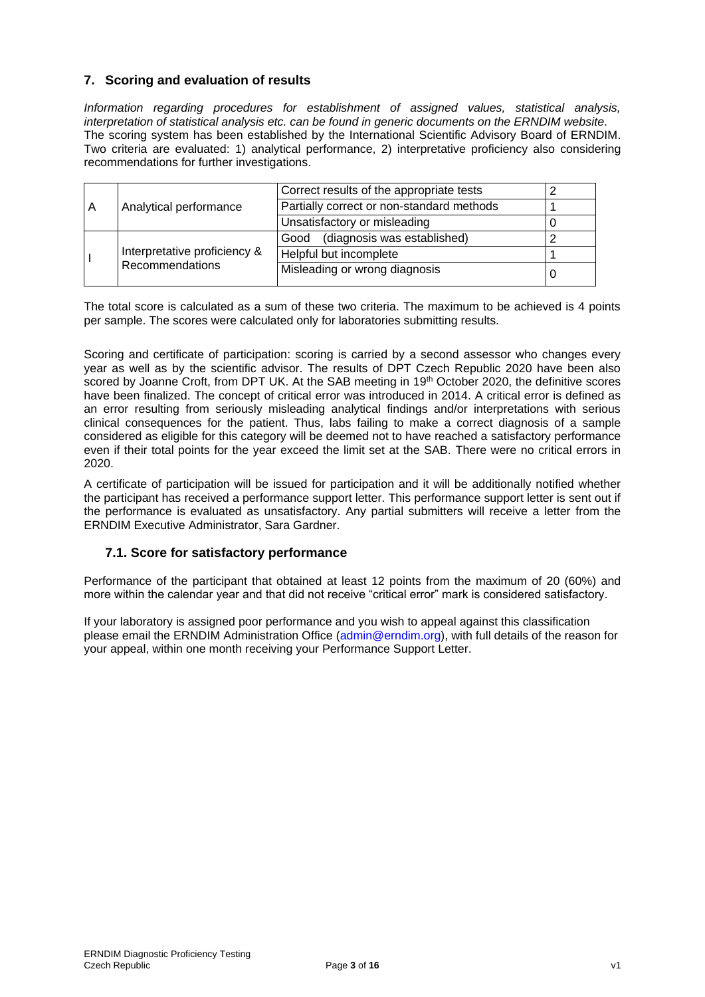### **7. Scoring and evaluation of results**

*Information regarding procedures for establishment of assigned values, statistical analysis, interpretation of statistical analysis etc. can be found in generic documents on the ERNDIM website*. The scoring system has been established by the International Scientific Advisory Board of ERNDIM. Two criteria are evaluated: 1) analytical performance, 2) interpretative proficiency also considering recommendations for further investigations.

| A |                                                 | Correct results of the appropriate tests  |  |
|---|-------------------------------------------------|-------------------------------------------|--|
|   | Analytical performance                          | Partially correct or non-standard methods |  |
|   |                                                 | Unsatisfactory or misleading              |  |
|   | Interpretative proficiency &<br>Recommendations | (diagnosis was established)<br>Good       |  |
|   |                                                 | Helpful but incomplete                    |  |
|   |                                                 | Misleading or wrong diagnosis             |  |
|   |                                                 |                                           |  |

The total score is calculated as a sum of these two criteria. The maximum to be achieved is 4 points per sample. The scores were calculated only for laboratories submitting results.

Scoring and certificate of participation: scoring is carried by a second assessor who changes every year as well as by the scientific advisor. The results of DPT Czech Republic 2020 have been also scored by Joanne Croft, from DPT UK. At the SAB meeting in 19<sup>th</sup> October 2020, the definitive scores have been finalized. The concept of critical error was introduced in 2014. A critical error is defined as an error resulting from seriously misleading analytical findings and/or interpretations with serious clinical consequences for the patient. Thus, labs failing to make a correct diagnosis of a sample considered as eligible for this category will be deemed not to have reached a satisfactory performance even if their total points for the year exceed the limit set at the SAB. There were no critical errors in 2020.

A certificate of participation will be issued for participation and it will be additionally notified whether the participant has received a performance support letter. This performance support letter is sent out if the performance is evaluated as unsatisfactory. Any partial submitters will receive a letter from the ERNDIM Executive Administrator, Sara Gardner.

### **7.1. Score for satisfactory performance**

Performance of the participant that obtained at least 12 points from the maximum of 20 (60%) and more within the calendar year and that did not receive "critical error" mark is considered satisfactory.

If your laboratory is assigned poor performance and you wish to appeal against this classification please email the ERNDIM Administration Office (admin@erndim.org), with full details of the reason for your appeal, within one month receiving your Performance Support Letter.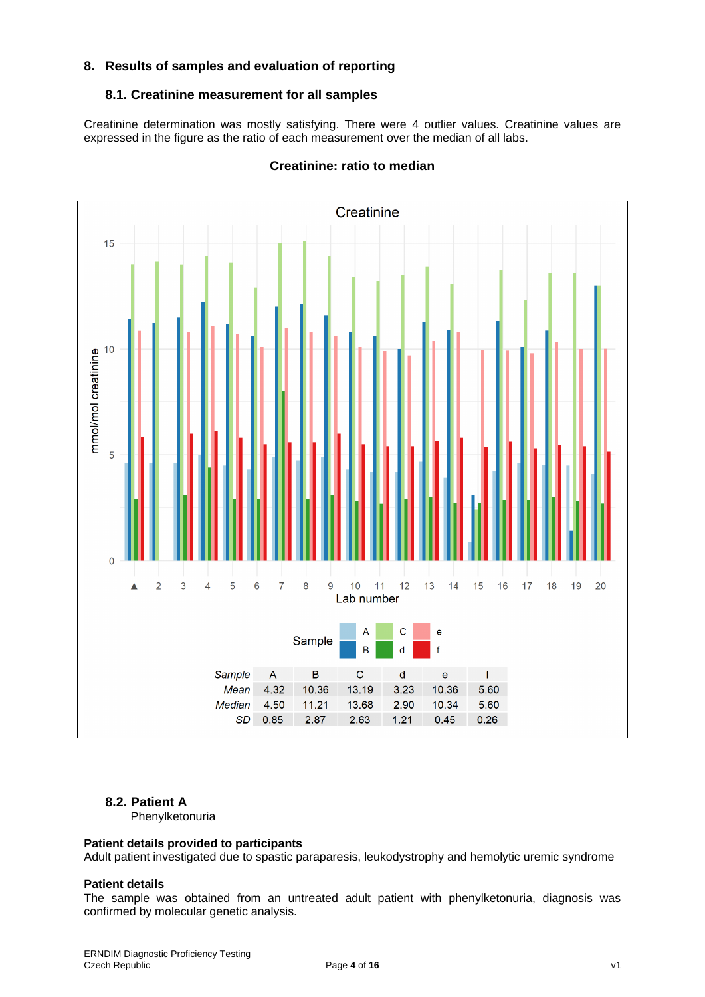### **8. Results of samples and evaluation of reporting**

### **8.1. Creatinine measurement for all samples**

Creatinine determination was mostly satisfying. There were 4 outlier values. Creatinine values are expressed in the figure as the ratio of each measurement over the median of all labs.



### **Creatinine: ratio to median**

### **8.2. Patient A**

Phenylketonuria

#### **Patient details provided to participants**

Adult patient investigated due to spastic paraparesis, leukodystrophy and hemolytic uremic syndrome

#### **Patient details**

The sample was obtained from an untreated adult patient with phenylketonuria, diagnosis was confirmed by molecular genetic analysis.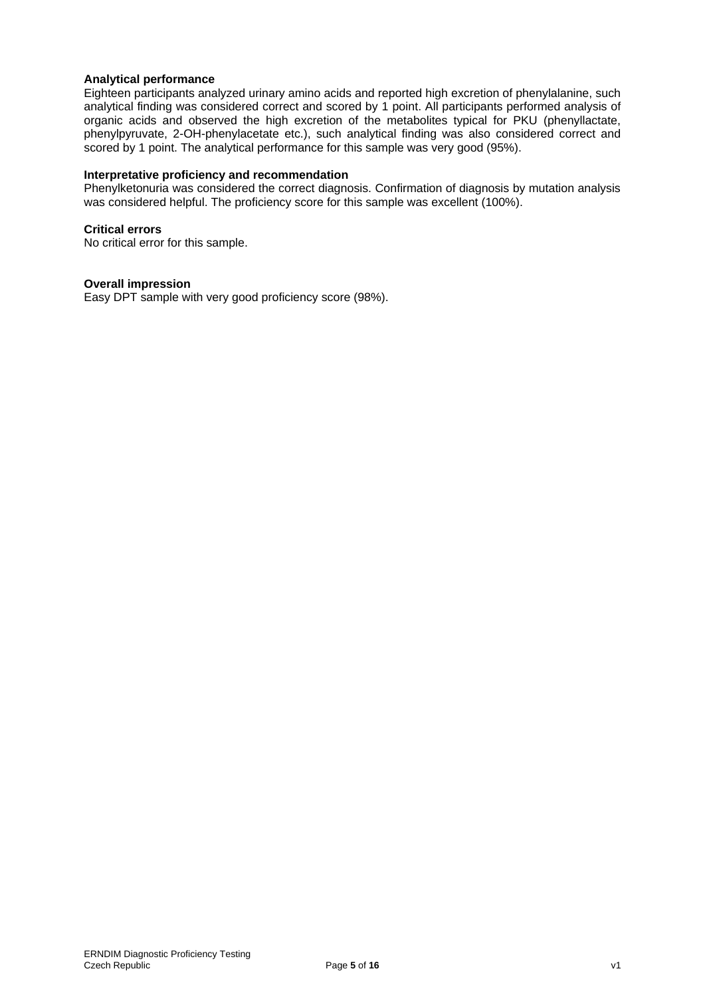### **Analytical performance**

Eighteen participants analyzed urinary amino acids and reported high excretion of phenylalanine, such analytical finding was considered correct and scored by 1 point. All participants performed analysis of organic acids and observed the high excretion of the metabolites typical for PKU (phenyllactate, phenylpyruvate, 2-OH-phenylacetate etc.), such analytical finding was also considered correct and scored by 1 point. The analytical performance for this sample was very good (95%).

### **Interpretative proficiency and recommendation**

Phenylketonuria was considered the correct diagnosis. Confirmation of diagnosis by mutation analysis was considered helpful. The proficiency score for this sample was excellent (100%).

#### **Critical errors**

No critical error for this sample.

#### **Overall impression**

Easy DPT sample with very good proficiency score (98%).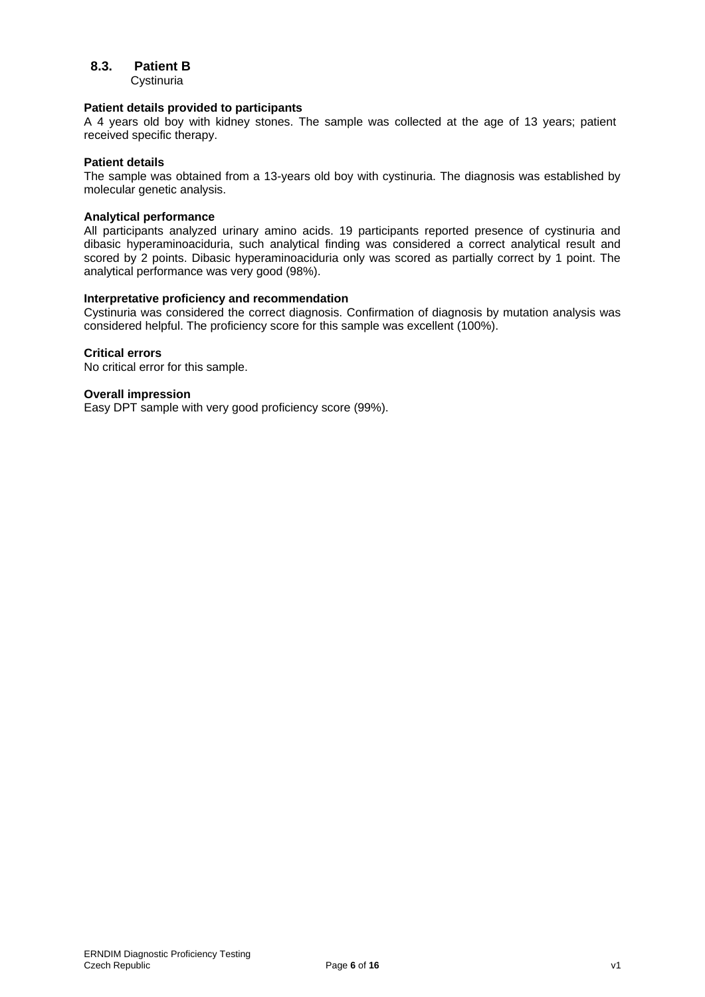### **8.3. Patient B**

**Cystinuria** 

#### **Patient details provided to participants**

A 4 years old boy with kidney stones. The sample was collected at the age of 13 years; patient received specific therapy.

#### **Patient details**

The sample was obtained from a 13-years old boy with cystinuria. The diagnosis was established by molecular genetic analysis.

### **Analytical performance**

All participants analyzed urinary amino acids. 19 participants reported presence of cystinuria and dibasic hyperaminoaciduria, such analytical finding was considered a correct analytical result and scored by 2 points. Dibasic hyperaminoaciduria only was scored as partially correct by 1 point. The analytical performance was very good (98%).

#### **Interpretative proficiency and recommendation**

Cystinuria was considered the correct diagnosis. Confirmation of diagnosis by mutation analysis was considered helpful. The proficiency score for this sample was excellent (100%).

### **Critical errors**

No critical error for this sample.

#### **Overall impression**

Easy DPT sample with very good proficiency score (99%).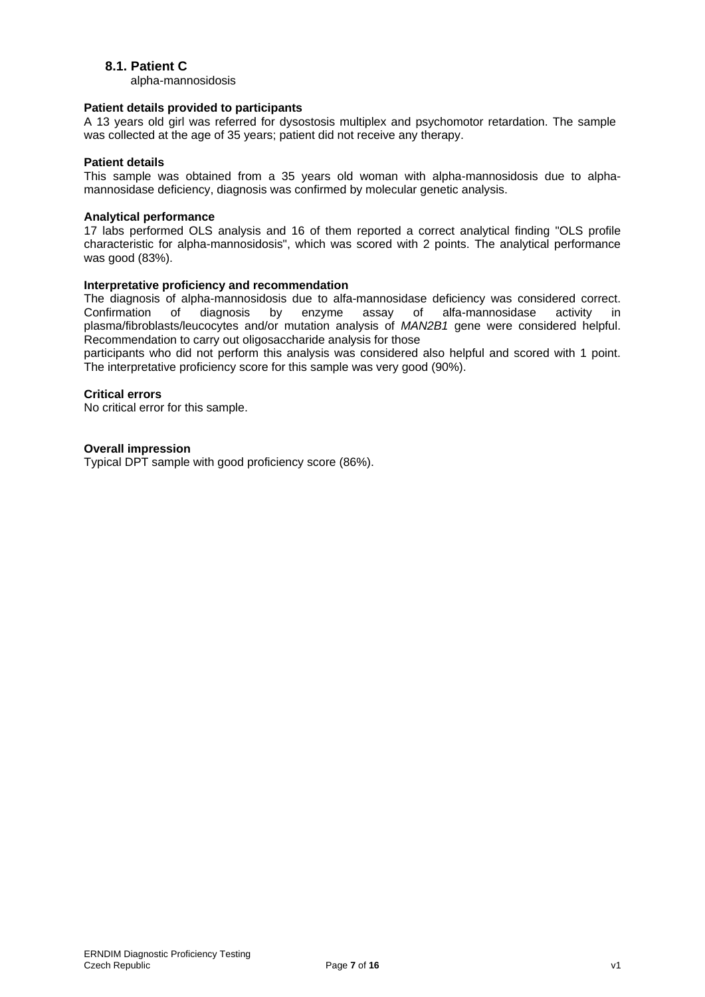### **8.1. Patient C**

alpha-mannosidosis

### **Patient details provided to participants**

A 13 years old girl was referred for dysostosis multiplex and psychomotor retardation. The sample was collected at the age of 35 years; patient did not receive any therapy.

#### **Patient details**

This sample was obtained from a 35 years old woman with alpha-mannosidosis due to alphamannosidase deficiency, diagnosis was confirmed by molecular genetic analysis.

#### **Analytical performance**

17 labs performed OLS analysis and 16 of them reported a correct analytical finding "OLS profile characteristic for alpha-mannosidosis", which was scored with 2 points. The analytical performance was good (83%).

### **Interpretative proficiency and recommendation**

The diagnosis of alpha-mannosidosis due to alfa-mannosidase deficiency was considered correct. Confirmation of diagnosis by enzyme assay of alfa-mannosidase activity in plasma/fibroblasts/leucocytes and/or mutation analysis of *MAN2B1* gene were considered helpful. Recommendation to carry out oligosaccharide analysis for those

participants who did not perform this analysis was considered also helpful and scored with 1 point. The interpretative proficiency score for this sample was very good (90%).

### **Critical errors**

No critical error for this sample.

#### **Overall impression**

Typical DPT sample with good proficiency score (86%).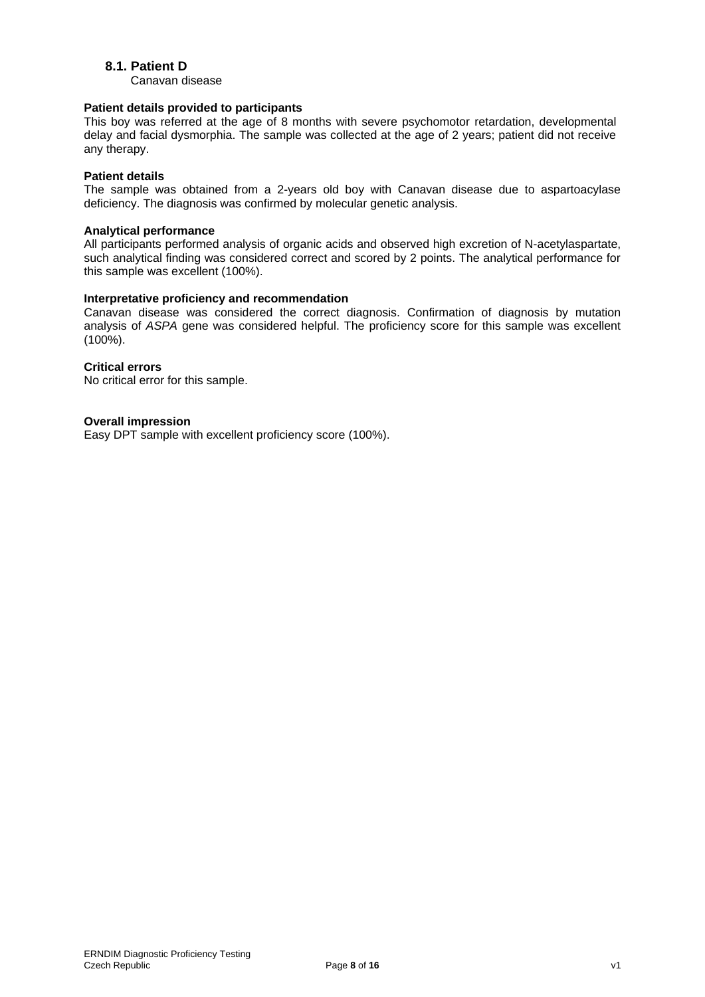### **8.1. Patient D**

Canavan disease

### **Patient details provided to participants**

This boy was referred at the age of 8 months with severe psychomotor retardation, developmental delay and facial dysmorphia. The sample was collected at the age of 2 years; patient did not receive any therapy.

### **Patient details**

The sample was obtained from a 2-years old boy with Canavan disease due to aspartoacylase deficiency. The diagnosis was confirmed by molecular genetic analysis.

### **Analytical performance**

All participants performed analysis of organic acids and observed high excretion of N-acetylaspartate, such analytical finding was considered correct and scored by 2 points. The analytical performance for this sample was excellent (100%).

#### **Interpretative proficiency and recommendation**

Canavan disease was considered the correct diagnosis. Confirmation of diagnosis by mutation analysis of *ASPA* gene was considered helpful. The proficiency score for this sample was excellent (100%).

#### **Critical errors**

No critical error for this sample.

### **Overall impression**

Easy DPT sample with excellent proficiency score (100%).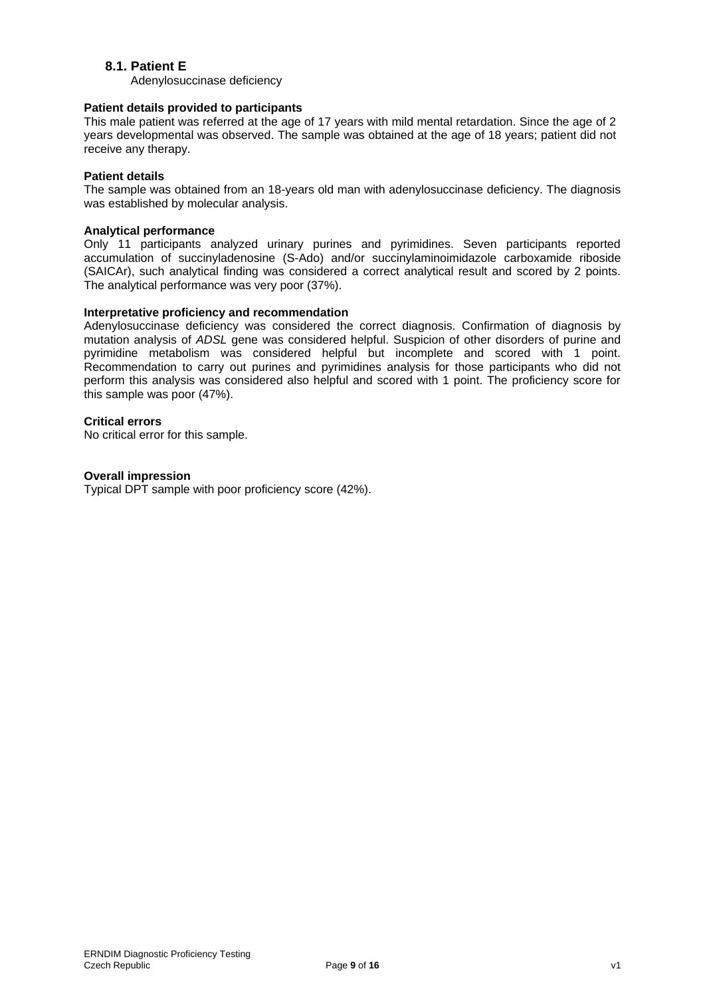### **8.1. Patient E**

Adenylosuccinase deficiency

### **Patient details provided to participants**

This male patient was referred at the age of 17 years with mild mental retardation. Since the age of 2 years developmental was observed. The sample was obtained at the age of 18 years; patient did not receive any therapy.

### **Patient details**

The sample was obtained from an 18-years old man with adenylosuccinase deficiency. The diagnosis was established by molecular analysis.

### **Analytical performance**

Only 11 participants analyzed urinary purines and pyrimidines. Seven participants reported accumulation of succinyladenosine (S-Ado) and/or succinylaminoimidazole carboxamide riboside (SAICAr), such analytical finding was considered a correct analytical result and scored by 2 points. The analytical performance was very poor (37%).

### **Interpretative proficiency and recommendation**

Adenylosuccinase deficiency was considered the correct diagnosis. Confirmation of diagnosis by mutation analysis of *ADSL* gene was considered helpful. Suspicion of other disorders of purine and pyrimidine metabolism was considered helpful but incomplete and scored with 1 point. Recommendation to carry out purines and pyrimidines analysis for those participants who did not perform this analysis was considered also helpful and scored with 1 point. The proficiency score for this sample was poor (47%).

### **Critical errors**

No critical error for this sample.

### **Overall impression**

Typical DPT sample with poor proficiency score (42%).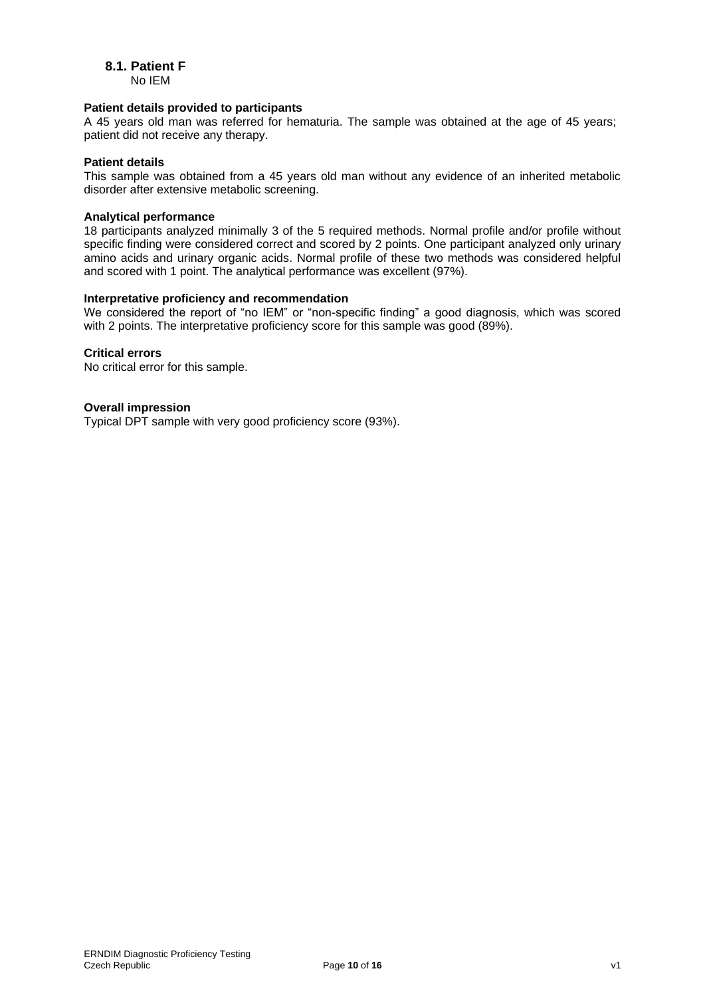# **8.1. Patient F**

No IEM

#### **Patient details provided to participants**

A 45 years old man was referred for hematuria. The sample was obtained at the age of 45 years; patient did not receive any therapy.

#### **Patient details**

This sample was obtained from a 45 years old man without any evidence of an inherited metabolic disorder after extensive metabolic screening.

### **Analytical performance**

18 participants analyzed minimally 3 of the 5 required methods. Normal profile and/or profile without specific finding were considered correct and scored by 2 points. One participant analyzed only urinary amino acids and urinary organic acids. Normal profile of these two methods was considered helpful and scored with 1 point. The analytical performance was excellent (97%).

#### **Interpretative proficiency and recommendation**

We considered the report of "no IEM" or "non-specific finding" a good diagnosis, which was scored with 2 points. The interpretative proficiency score for this sample was good (89%).

### **Critical errors**

No critical error for this sample.

### **Overall impression**

Typical DPT sample with very good proficiency score (93%).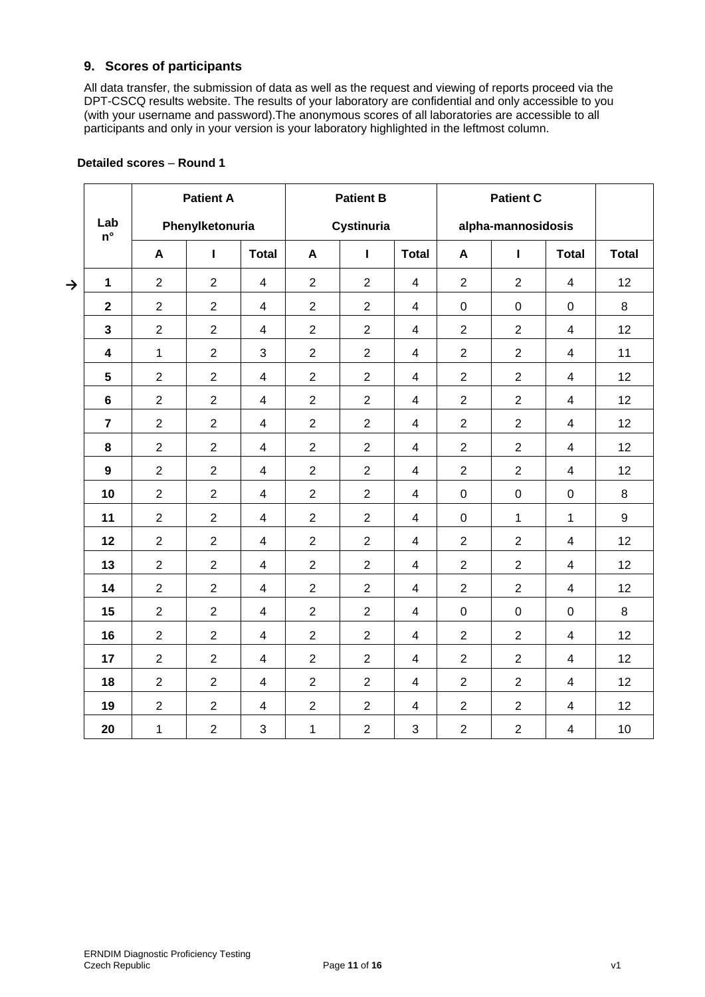### **9. Scores of participants**

All data transfer, the submission of data as well as the request and viewing of reports proceed via the DPT-CSCQ results website. The results of your laboratory are confidential and only accessible to you (with your username and password).The anonymous scores of all laboratories are accessible to all participants and only in your version is your laboratory highlighted in the leftmost column.

|               |                                       |                | <b>Patient A</b> |                         |                | <b>Patient B</b> |                         |                    | <b>Patient C</b> |                         |              |
|---------------|---------------------------------------|----------------|------------------|-------------------------|----------------|------------------|-------------------------|--------------------|------------------|-------------------------|--------------|
|               | Lab<br>Phenylketonuria<br>$n^{\circ}$ |                |                  |                         |                | Cystinuria       |                         | alpha-mannosidosis |                  |                         |              |
|               |                                       | A              | Т                | <b>Total</b>            | A              | Т                | <b>Total</b>            | $\boldsymbol{A}$   | $\mathbf{I}$     | <b>Total</b>            | <b>Total</b> |
| $\rightarrow$ | $\mathbf 1$                           | $\overline{2}$ | $\overline{2}$   | $\overline{4}$          | $\overline{2}$ | $\overline{2}$   | $\overline{\mathbf{4}}$ | $\overline{2}$     | $\overline{2}$   | $\overline{4}$          | 12           |
|               | $\mathbf 2$                           | $\overline{2}$ | $\overline{2}$   | $\overline{4}$          | $\overline{2}$ | $\overline{2}$   | $\overline{\mathbf{4}}$ | $\pmb{0}$          | $\mathsf 0$      | $\mathbf 0$             | 8            |
|               | $\mathbf{3}$                          | $\overline{2}$ | $\overline{2}$   | $\overline{4}$          | $\overline{2}$ | $\overline{2}$   | 4                       | $\overline{2}$     | $\overline{2}$   | $\overline{4}$          | 12           |
|               | $\overline{\mathbf{4}}$               | $\mathbf{1}$   | $\overline{2}$   | 3                       | $\overline{2}$ | $\overline{2}$   | $\overline{\mathbf{4}}$ | $\overline{2}$     | $\overline{2}$   | $\overline{4}$          | 11           |
|               | $5\phantom{.0}$                       | $\overline{2}$ | $\overline{2}$   | $\overline{4}$          | $\overline{2}$ | $\overline{2}$   | $\overline{4}$          | $\overline{2}$     | $\overline{2}$   | $\overline{4}$          | 12           |
|               | $6\phantom{a}$                        | $\mathbf{2}$   | $\overline{2}$   | $\overline{4}$          | $\overline{2}$ | $\overline{2}$   | $\overline{\mathbf{4}}$ | $\overline{2}$     | $\overline{2}$   | $\overline{4}$          | 12           |
|               | $\overline{7}$                        | $\overline{2}$ | $\overline{2}$   | $\overline{4}$          | $\overline{2}$ | $\overline{2}$   | $\overline{\mathbf{4}}$ | $\overline{2}$     | $\overline{2}$   | $\overline{4}$          | 12           |
|               | 8                                     | $\overline{2}$ | $\overline{2}$   | $\overline{4}$          | $\overline{2}$ | $\overline{2}$   | $\overline{\mathbf{4}}$ | $\overline{2}$     | $\overline{2}$   | $\overline{4}$          | 12           |
|               | $\boldsymbol{9}$                      | $\overline{2}$ | $\overline{2}$   | $\overline{4}$          | $\overline{2}$ | $\overline{2}$   | $\overline{\mathbf{4}}$ | $\overline{2}$     | $\overline{2}$   | $\overline{4}$          | 12           |
|               | 10                                    | $\overline{2}$ | $\overline{2}$   | $\overline{4}$          | $\overline{2}$ | $\overline{2}$   | $\overline{4}$          | $\mathbf 0$        | $\mathbf 0$      | $\mathbf 0$             | 8            |
|               | 11                                    | $\overline{2}$ | $\overline{2}$   | $\overline{4}$          | $\overline{2}$ | $\overline{2}$   | $\overline{\mathbf{4}}$ | $\pmb{0}$          | $\mathbf{1}$     | 1                       | 9            |
|               | 12                                    | $\overline{2}$ | $\overline{2}$   | $\overline{4}$          | $\overline{2}$ | $\overline{2}$   | $\overline{4}$          | $\overline{2}$     | $\overline{2}$   | $\overline{4}$          | 12           |
|               | 13                                    | $\overline{2}$ | $\overline{2}$   | $\overline{4}$          | $\overline{2}$ | $\overline{2}$   | $\overline{\mathbf{4}}$ | $\overline{2}$     | $\overline{2}$   | $\overline{\mathbf{4}}$ | 12           |
|               | 14                                    | $\overline{2}$ | $\overline{2}$   | $\overline{4}$          | $\overline{2}$ | $\overline{2}$   | 4                       | $\overline{2}$     | $\overline{2}$   | $\overline{4}$          | 12           |
|               | 15                                    | $\overline{2}$ | $\overline{2}$   | $\overline{4}$          | $\overline{2}$ | $\overline{2}$   | $\overline{\mathbf{4}}$ | $\mathbf 0$        | $\mathbf 0$      | $\mathbf 0$             | 8            |
|               | 16                                    | $\overline{2}$ | $\overline{2}$   | $\overline{4}$          | $\overline{2}$ | $\overline{2}$   | $\overline{4}$          | $\overline{2}$     | $\overline{2}$   | $\overline{4}$          | 12           |
|               | 17                                    | $\overline{2}$ | $\overline{c}$   | $\overline{\mathbf{4}}$ | $\overline{2}$ | $\overline{2}$   | $\overline{\mathbf{4}}$ | $\overline{2}$     | $\overline{2}$   | $\overline{4}$          | 12           |
|               | 18                                    | $\overline{2}$ | $\overline{2}$   | $\overline{4}$          | $\overline{2}$ | $\overline{2}$   | $\overline{\mathbf{4}}$ | $\overline{2}$     | $\overline{2}$   | $\overline{4}$          | 12           |
|               | 19                                    | $\overline{2}$ | $\overline{2}$   | $\overline{4}$          | $\overline{2}$ | $\overline{2}$   | $\overline{\mathbf{4}}$ | $\overline{2}$     | $\overline{2}$   | $\overline{4}$          | 12           |
|               | 20                                    | $\mathbf{1}$   | $\overline{2}$   | 3                       | $\mathbf 1$    | $\overline{2}$   | 3                       | $\overline{2}$     | $\overline{2}$   | $\overline{4}$          | 10           |

### **Detailed scores** – **Round 1**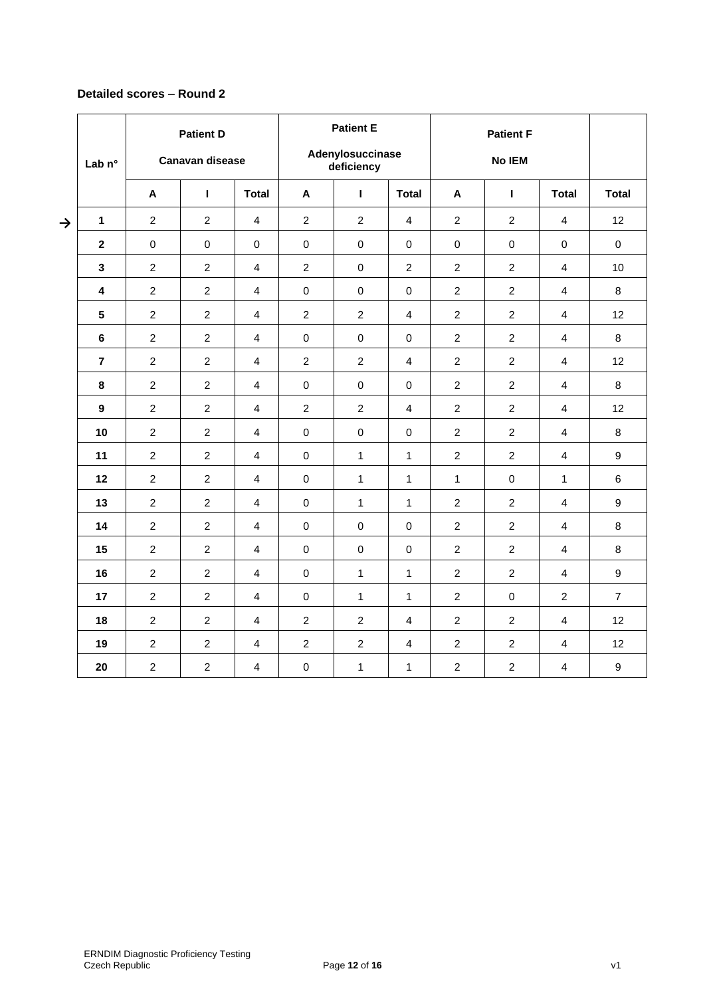### **Detailed scores** – **Round 2**

|               | <b>Patient D</b><br><b>Canavan disease</b> |                  |                | <b>Patient E</b><br>Adenylosuccinase |                |                  | <b>Patient F</b> |                  |                |                         |                  |
|---------------|--------------------------------------------|------------------|----------------|--------------------------------------|----------------|------------------|------------------|------------------|----------------|-------------------------|------------------|
|               | Lab $n^{\circ}$                            |                  |                |                                      | deficiency     |                  |                  | No IEM           |                |                         |                  |
|               |                                            | A                | $\mathbf{I}$   | <b>Total</b>                         | A              | $\mathbf{I}$     | <b>Total</b>     | A                | ı              | <b>Total</b>            | <b>Total</b>     |
| $\rightarrow$ | 1                                          | $\overline{2}$   | $\overline{2}$ | $\overline{4}$                       | $\overline{2}$ | 2                | 4                | $\overline{c}$   | $\overline{2}$ | 4                       | 12               |
|               | $\boldsymbol{2}$                           | $\pmb{0}$        | $\mathsf 0$    | $\mathsf 0$                          | $\pmb{0}$      | $\pmb{0}$        | $\mathsf 0$      | $\pmb{0}$        | $\mathsf 0$    | $\mathsf 0$             | $\pmb{0}$        |
|               | $\mathbf{3}$                               | $\overline{2}$   | $\overline{c}$ | $\overline{4}$                       | $\overline{2}$ | 0                | $\overline{c}$   | $\overline{c}$   | $\overline{c}$ | 4                       | 10               |
|               | 4                                          | $\overline{2}$   | $\overline{2}$ | 4                                    | $\mathbf 0$    | $\pmb{0}$        | $\mathbf 0$      | $\overline{2}$   | $\overline{2}$ | 4                       | 8                |
|               | 5                                          | $\overline{2}$   | $\overline{2}$ | $\overline{4}$                       | $\overline{2}$ | $\overline{2}$   | $\overline{4}$   | $\overline{2}$   | $\overline{2}$ | 4                       | 12               |
|               | $\bf 6$                                    | $\overline{2}$   | $\overline{2}$ | $\overline{4}$                       | $\pmb{0}$      | $\pmb{0}$        | 0                | $\overline{c}$   | $\overline{2}$ | 4                       | 8                |
|               | $\overline{7}$                             | $\overline{c}$   | $\overline{2}$ | $\overline{\mathbf{4}}$              | $\overline{c}$ | $\overline{c}$   | 4                | $\overline{c}$   | $\overline{2}$ | 4                       | 12               |
|               | 8                                          | $\overline{2}$   | $\overline{2}$ | $\overline{4}$                       | $\mathbf 0$    | $\mathbf 0$      | 0                | $\overline{c}$   | $\overline{2}$ | 4                       | 8                |
|               | $\boldsymbol{9}$                           | $\boldsymbol{2}$ | $\overline{c}$ | $\overline{4}$                       | $\sqrt{2}$     | $\boldsymbol{2}$ | 4                | $\overline{c}$   | $\overline{c}$ | 4                       | 12               |
|               | 10                                         | $\overline{2}$   | $\overline{2}$ | $\overline{4}$                       | $\pmb{0}$      | $\pmb{0}$        | $\mathbf 0$      | $\overline{c}$   | $\overline{c}$ | 4                       | 8                |
|               | 11                                         | $\overline{c}$   | $\overline{c}$ | $\overline{4}$                       | $\mathbf 0$    | $\mathbf{1}$     | $\mathbf{1}$     | $\overline{c}$   | $\overline{c}$ | 4                       | $\boldsymbol{9}$ |
|               | 12                                         | $\overline{2}$   | $\overline{2}$ | $\overline{4}$                       | $\mathbf 0$    | $\mathbf{1}$     | $\mathbf{1}$     | $\mathbf{1}$     | $\mathbf 0$    | $\mathbf{1}$            | $\,6\,$          |
|               | 13                                         | $\overline{2}$   | $\overline{c}$ | 4                                    | $\pmb{0}$      | $\mathbf{1}$     | 1                | $\overline{c}$   | $\overline{c}$ | $\overline{\mathbf{4}}$ | $\boldsymbol{9}$ |
|               | 14                                         | $\overline{2}$   | $\overline{c}$ | $\overline{4}$                       | $\mathbf 0$    | $\mathbf 0$      | $\mathbf 0$      | $\overline{2}$   | $\overline{c}$ | 4                       | 8                |
|               | 15                                         | $\overline{2}$   | $\overline{2}$ | $\overline{4}$                       | $\mathbf 0$    | $\mathbf 0$      | 0                | $\overline{c}$   | $\overline{2}$ | 4                       | 8                |
|               | 16                                         | $\overline{2}$   | $\overline{2}$ | $\overline{4}$                       | $\mathbf 0$    | $\mathbf{1}$     | $\mathbf{1}$     | $\overline{c}$   | $\overline{2}$ | 4                       | $\boldsymbol{9}$ |
|               | 17                                         | $\overline{c}$   | $\overline{2}$ | $\overline{4}$                       | $\pmb{0}$      | $\mathbf{1}$     | 1                | $\overline{c}$   | $\pmb{0}$      | $\overline{a}$          | $\overline{7}$   |
|               | 18                                         | $\overline{c}$   | $\overline{c}$ | $\overline{4}$                       | $\overline{c}$ | $\overline{c}$   | 4                | $\overline{c}$   | $\overline{c}$ | 4                       | 12               |
|               | 19                                         | $\overline{2}$   | $\overline{2}$ | $\overline{4}$                       | $\overline{c}$ | $\overline{c}$   | 4                | $\boldsymbol{2}$ | $\overline{c}$ | 4                       | 12               |
|               | 20                                         | $\overline{2}$   | $\overline{c}$ | $\overline{4}$                       | $\pmb{0}$      | $\mathbf{1}$     | 1                | $\overline{c}$   | $\overline{c}$ | 4                       | $\boldsymbol{9}$ |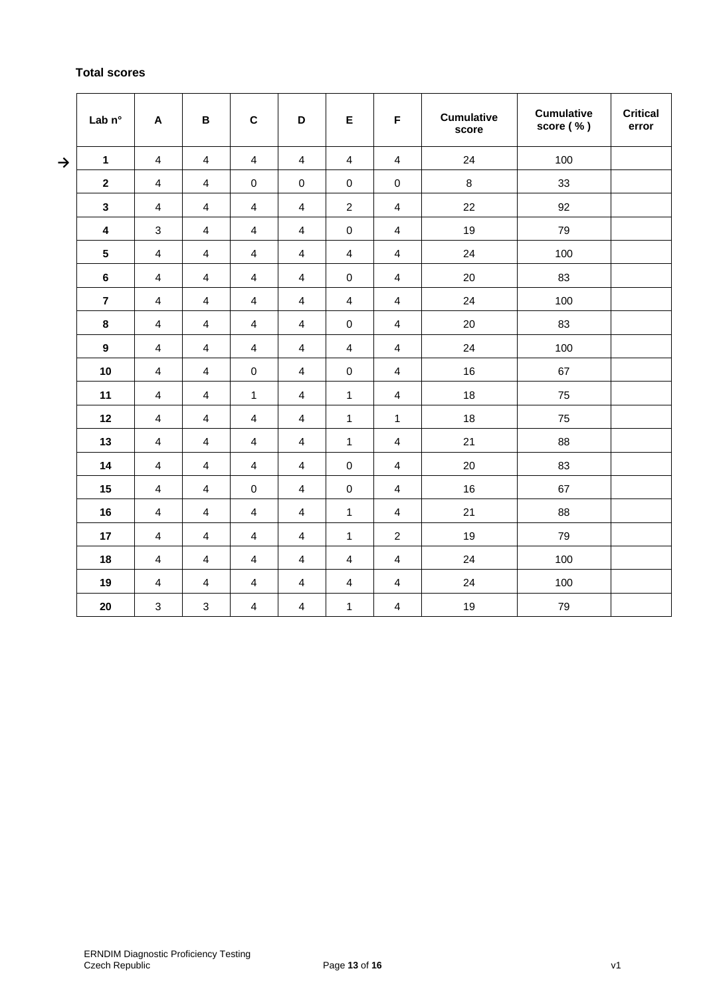# **Total scores**

|               | Lab n°                  | $\boldsymbol{\mathsf{A}}$ | B                       | $\mathbf C$             | D                       | E                       | F                       | <b>Cumulative</b><br>score | <b>Cumulative</b><br>score (%) | <b>Critical</b><br>error |
|---------------|-------------------------|---------------------------|-------------------------|-------------------------|-------------------------|-------------------------|-------------------------|----------------------------|--------------------------------|--------------------------|
| $\rightarrow$ | $\mathbf{1}$            | 4                         | 4                       | 4                       | 4                       | 4                       | 4                       | 24                         | 100                            |                          |
|               | $\mathbf{2}$            | $\overline{\mathbf{4}}$   | 4                       | $\pmb{0}$               | $\pmb{0}$               | $\pmb{0}$               | $\pmb{0}$               | 8                          | 33                             |                          |
|               | $\mathbf{3}$            | $\overline{\mathbf{4}}$   | 4                       | $\overline{4}$          | $\overline{4}$          | $\sqrt{2}$              | $\overline{4}$          | 22                         | 92                             |                          |
|               | $\overline{\mathbf{4}}$ | 3                         | $\overline{\mathbf{4}}$ | $\overline{4}$          | $\overline{\mathbf{4}}$ | $\mathbf 0$             | $\overline{4}$          | 19                         | 79                             |                          |
|               | $5\phantom{.0}$         | 4                         | 4                       | $\overline{4}$          | 4                       | 4                       | 4                       | 24                         | 100                            |                          |
|               | 6                       | $\overline{\mathbf{4}}$   | $\overline{\mathbf{4}}$ | $\overline{4}$          | $\overline{4}$          | $\pmb{0}$               | $\overline{4}$          | 20                         | 83                             |                          |
|               | $\overline{7}$          | $\overline{\mathbf{4}}$   | $\overline{\mathbf{4}}$ | $\overline{4}$          | $\overline{4}$          | $\overline{\mathbf{4}}$ | $\overline{4}$          | 24                         | 100                            |                          |
|               | 8                       | $\overline{4}$            | 4                       | $\overline{4}$          | $\overline{4}$          | $\pmb{0}$               | 4                       | 20                         | 83                             |                          |
|               | $\boldsymbol{9}$        | $\overline{4}$            | $\overline{4}$          | $\overline{4}$          | $\overline{4}$          | $\overline{4}$          | $\overline{4}$          | 24                         | 100                            |                          |
|               | 10                      | $\overline{\mathbf{4}}$   | 4                       | $\mathbf 0$             | $\overline{4}$          | $\mathsf 0$             | $\overline{4}$          | 16                         | 67                             |                          |
|               | 11                      | $\overline{\mathbf{4}}$   | $\overline{4}$          | $\mathbf{1}$            | $\overline{\mathbf{4}}$ | $\mathbf{1}$            | $\overline{4}$          | 18                         | 75                             |                          |
|               | 12                      | 4                         | 4                       | 4                       | $\overline{4}$          | 1                       | $\mathbf{1}$            | 18                         | 75                             |                          |
|               | 13                      | $\overline{4}$            | $\overline{\mathbf{4}}$ | $\overline{4}$          | $\overline{4}$          | 1                       | $\overline{4}$          | 21                         | 88                             |                          |
|               | 14                      | $\overline{\mathbf{4}}$   | $\overline{\mathbf{4}}$ | $\overline{4}$          | $\overline{\mathbf{4}}$ | $\mathsf 0$             | $\overline{4}$          | 20                         | 83                             |                          |
|               | 15                      | 4                         | 4                       | 0                       | 4                       | $\mathbf 0$             | 4                       | 16                         | 67                             |                          |
|               | 16                      | $\overline{\mathbf{4}}$   | $\overline{4}$          | $\overline{\mathbf{4}}$ | $\overline{\mathbf{4}}$ | $\mathbf{1}$            | $\overline{4}$          | 21                         | 88                             |                          |
|               | 17                      | 4                         | $\overline{\mathbf{4}}$ | $\overline{4}$          | $\overline{4}$          | 1                       | $\overline{2}$          | 19                         | 79                             |                          |
|               | 18                      | $\overline{4}$            | $\overline{4}$          | $\overline{4}$          | $\overline{4}$          | $\overline{\mathbf{4}}$ | $\overline{4}$          | 24                         | 100                            |                          |
|               | 19                      | 4                         | 4                       | 4                       | 4                       | 4                       | 4                       | 24                         | 100                            |                          |
|               | 20                      | $\sqrt{3}$                | $\sqrt{3}$              | $\overline{4}$          | $\overline{4}$          | 1                       | $\overline{\mathbf{4}}$ | 19                         | 79                             |                          |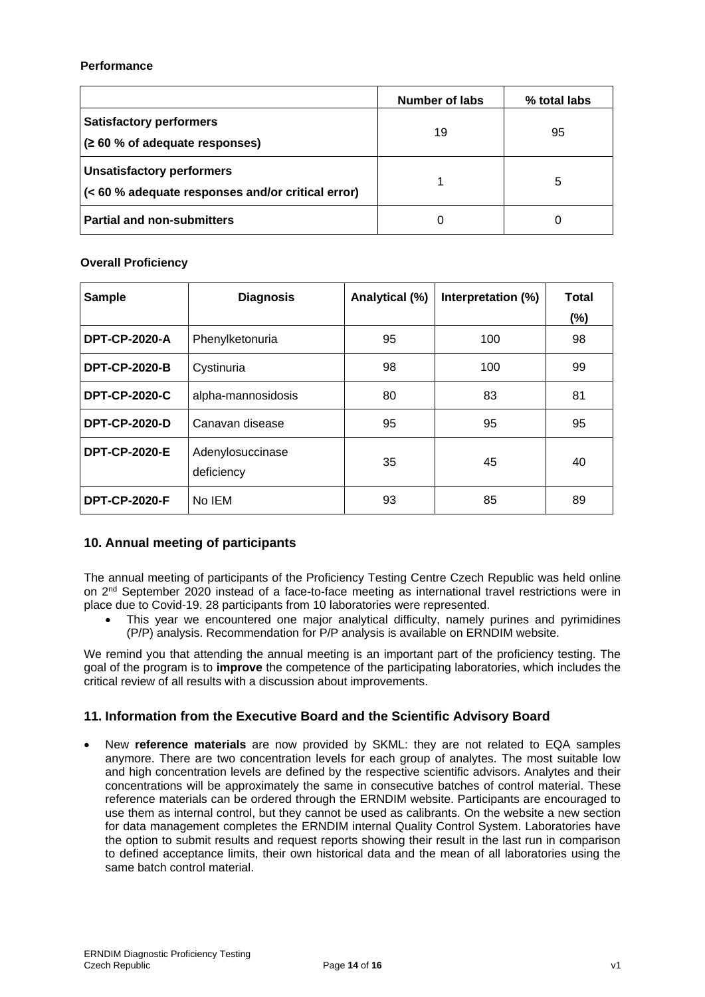### **Performance**

|                                                                                       | Number of labs | % total labs |
|---------------------------------------------------------------------------------------|----------------|--------------|
| <b>Satisfactory performers</b><br>(260 % of adequate responses)                       | 19             | 95           |
| <b>Unsatisfactory performers</b><br>(< 60 % adequate responses and/or critical error) |                | 5            |
| <b>Partial and non-submitters</b>                                                     | 0              |              |

### **Overall Proficiency**

| <b>Sample</b>        | <b>Diagnosis</b>               | Analytical (%) | Interpretation (%) | <b>Total</b> |
|----------------------|--------------------------------|----------------|--------------------|--------------|
|                      |                                |                |                    | (%)          |
| <b>DPT-CP-2020-A</b> | Phenylketonuria                | 95             | 100                | 98           |
| <b>DPT-CP-2020-B</b> | Cystinuria                     | 98             | 100                | 99           |
| <b>DPT-CP-2020-C</b> | alpha-mannosidosis             | 80             | 83                 | 81           |
| <b>DPT-CP-2020-D</b> | Canavan disease                | 95             | 95                 | 95           |
| <b>DPT-CP-2020-E</b> | Adenylosuccinase<br>deficiency | 35             | 45                 | 40           |
| <b>DPT-CP-2020-F</b> | No IEM                         | 93             | 85                 | 89           |

### **10. Annual meeting of participants**

The annual meeting of participants of the Proficiency Testing Centre Czech Republic was held online on 2<sup>nd</sup> September 2020 instead of a face-to-face meeting as international travel restrictions were in place due to Covid-19. 28 participants from 10 laboratories were represented.

This year we encountered one major analytical difficulty, namely purines and pyrimidines (P/P) analysis. Recommendation for P/P analysis is available on ERNDIM website.

We remind you that attending the annual meeting is an important part of the proficiency testing. The goal of the program is to **improve** the competence of the participating laboratories, which includes the critical review of all results with a discussion about improvements.

### **11. Information from the Executive Board and the Scientific Advisory Board**

• New **reference materials** are now provided by SKML: they are not related to EQA samples anymore. There are two concentration levels for each group of analytes. The most suitable low and high concentration levels are defined by the respective scientific advisors. Analytes and their concentrations will be approximately the same in consecutive batches of control material. These reference materials can be ordered through the ERNDIM website. Participants are encouraged to use them as internal control, but they cannot be used as calibrants. On the website a new section for data management completes the ERNDIM internal Quality Control System. Laboratories have the option to submit results and request reports showing their result in the last run in comparison to defined acceptance limits, their own historical data and the mean of all laboratories using the same batch control material.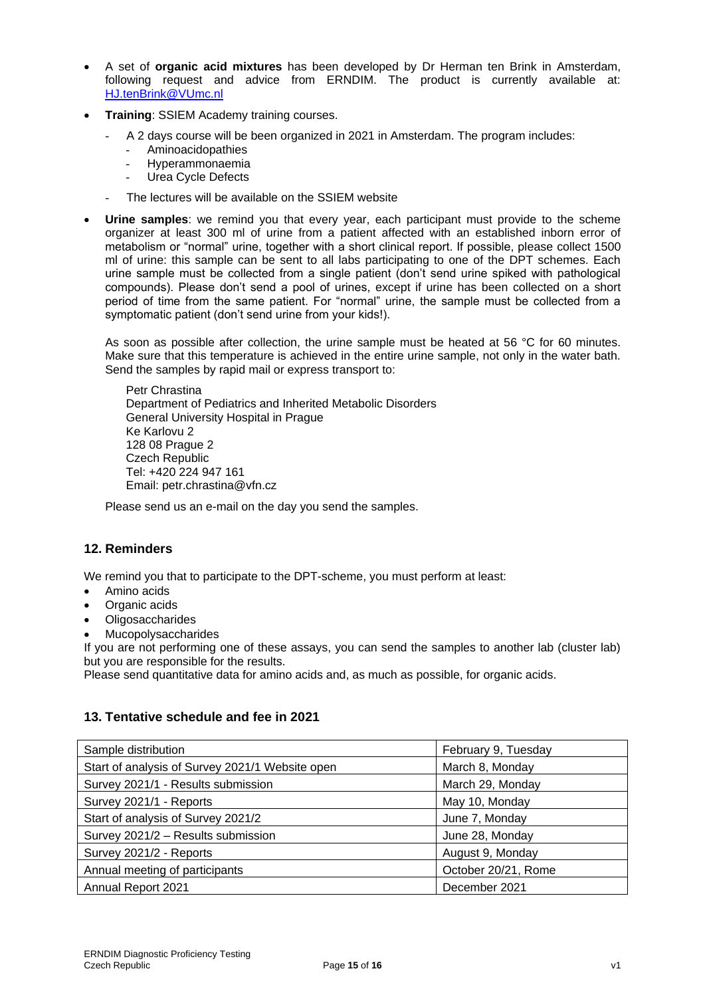- A set of **organic acid mixtures** has been developed by Dr Herman ten Brink in Amsterdam, following request and advice from ERNDIM. The product is currently available at: [HJ.tenBrink@VUmc.nl](mailto:HJ.tenBrink@VUmc.nl)
- **Training**: SSIEM Academy training courses.
	- A 2 days course will be been organized in 2021 in Amsterdam. The program includes:
		- Aminoacidopathies
		- Hyperammonaemia
		- Urea Cycle Defects
	- The lectures will be available on the SSIEM website
- **Urine samples**: we remind you that every year, each participant must provide to the scheme organizer at least 300 ml of urine from a patient affected with an established inborn error of metabolism or "normal" urine, together with a short clinical report. If possible, please collect 1500 ml of urine: this sample can be sent to all labs participating to one of the DPT schemes. Each urine sample must be collected from a single patient (don't send urine spiked with pathological compounds). Please don't send a pool of urines, except if urine has been collected on a short period of time from the same patient. For "normal" urine, the sample must be collected from a symptomatic patient (don't send urine from your kids!).

As soon as possible after collection, the urine sample must be heated at 56 °C for 60 minutes. Make sure that this temperature is achieved in the entire urine sample, not only in the water bath. Send the samples by rapid mail or express transport to:

Petr Chrastina Department of Pediatrics and Inherited Metabolic Disorders General University Hospital in Prague Ke Karlovu 2 128 08 Prague 2 Czech Republic Tel: +420 224 947 161 Email: petr.chrastina@vfn.cz

Please send us an e-mail on the day you send the samples.

### **12. Reminders**

We remind you that to participate to the DPT-scheme, you must perform at least:

- Amino acids
- Organic acids
- **Oligosaccharides**
- **Mucopolysaccharides**

If you are not performing one of these assays, you can send the samples to another lab (cluster lab) but you are responsible for the results.

Please send quantitative data for amino acids and, as much as possible, for organic acids.

### **13. Tentative schedule and fee in 2021**

| Sample distribution                             | February 9, Tuesday |
|-------------------------------------------------|---------------------|
| Start of analysis of Survey 2021/1 Website open | March 8, Monday     |
| Survey 2021/1 - Results submission              | March 29, Monday    |
| Survey 2021/1 - Reports                         | May 10, Monday      |
| Start of analysis of Survey 2021/2              | June 7, Monday      |
| Survey 2021/2 - Results submission              | June 28, Monday     |
| Survey 2021/2 - Reports                         | August 9, Monday    |
| Annual meeting of participants                  | October 20/21, Rome |
| Annual Report 2021                              | December 2021       |